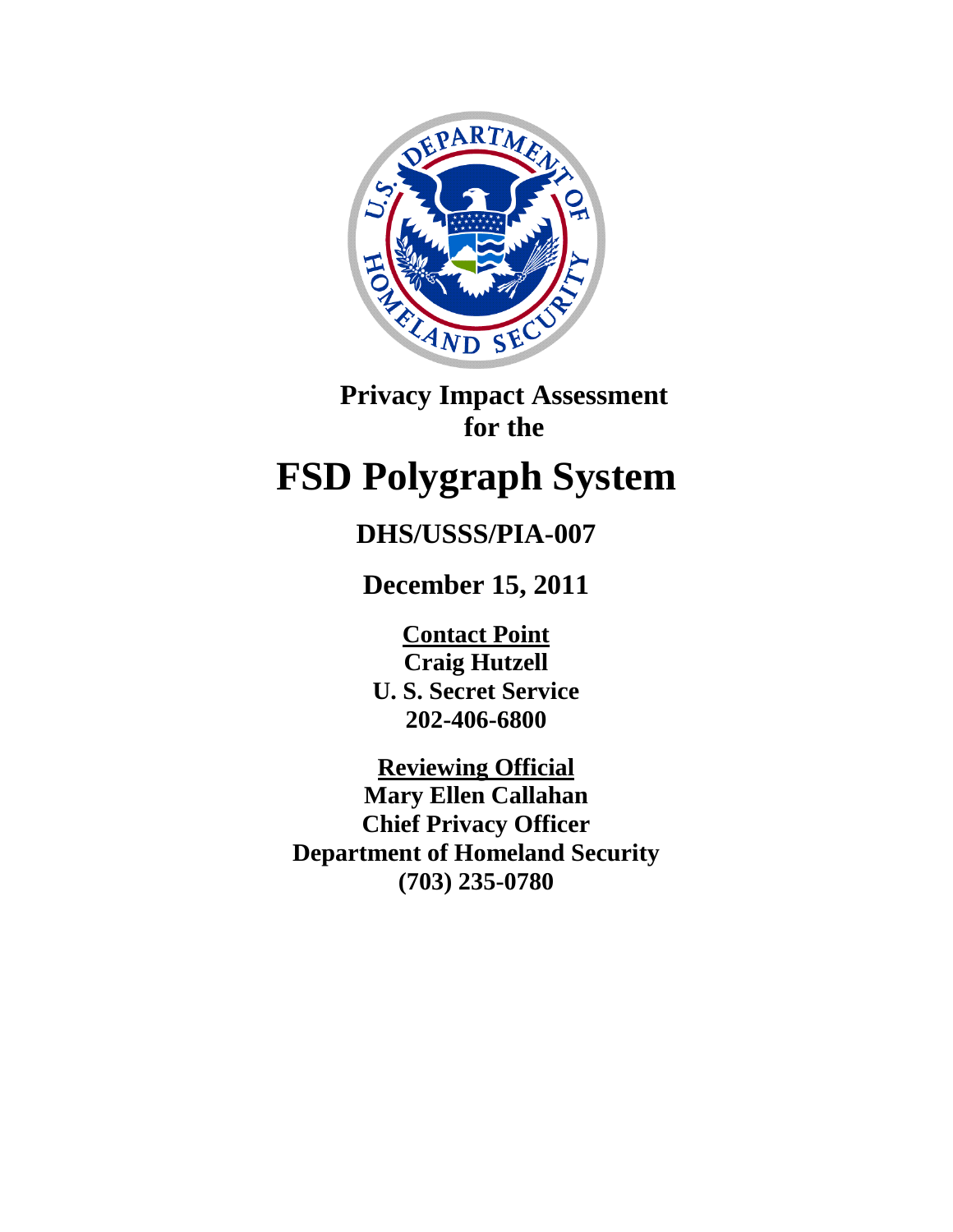

**Privacy Impact Assessment for the**

# **FSD Polygraph System**

## **DHS/USSS/PIA-007**

**December 15, 2011**

**Contact Point U. S. Secret Service 202-406-6800 Craig Hutzell**

**Reviewing Official Mary Ellen Callahan Chief Privacy Officer Department of Homeland Security (703) 235-0780**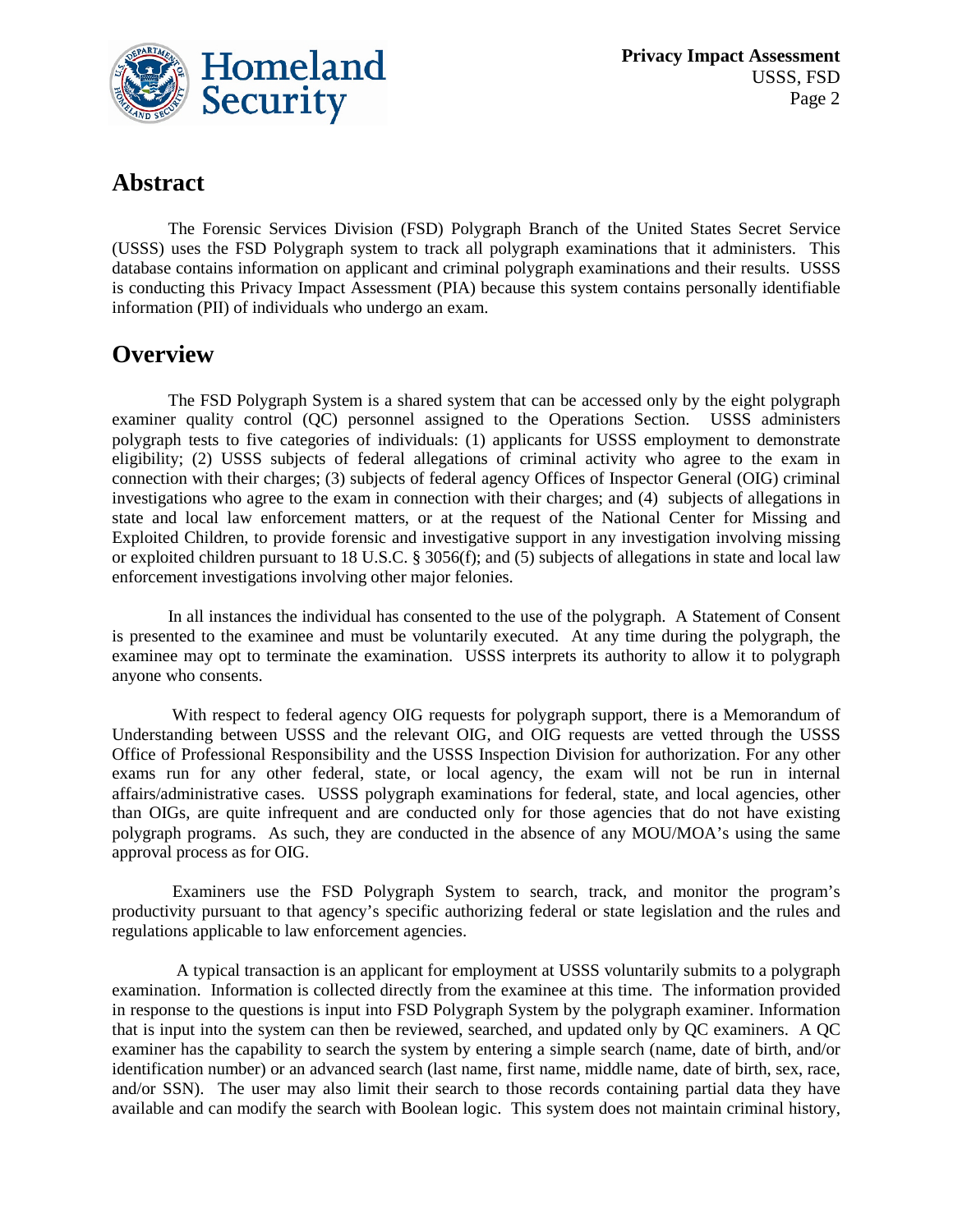

## **Abstract**

The Forensic Services Division (FSD) Polygraph Branch of the United States Secret Service (USSS) uses the FSD Polygraph system to track all polygraph examinations that it administers. This database contains information on applicant and criminal polygraph examinations and their results. USSS is conducting this Privacy Impact Assessment (PIA) because this system contains personally identifiable information (PII) of individuals who undergo an exam.

## **Overview**

The FSD Polygraph System is a shared system that can be accessed only by the eight polygraph examiner quality control (QC) personnel assigned to the Operations Section. USSS administers polygraph tests to five categories of individuals: (1) applicants for USSS employment to demonstrate eligibility; (2) USSS subjects of federal allegations of criminal activity who agree to the exam in connection with their charges; (3) subjects of federal agency Offices of Inspector General (OIG) criminal investigations who agree to the exam in connection with their charges; and (4) subjects of allegations in state and local law enforcement matters, or at the request of the National Center for Missing and Exploited Children, to provide forensic and investigative support in any investigation involving missing or exploited children pursuant to 18 U.S.C. § 3056(f); and (5) subjects of allegations in state and local law enforcement investigations involving other major felonies.

In all instances the individual has consented to the use of the polygraph. A Statement of Consent is presented to the examinee and must be voluntarily executed. At any time during the polygraph, the examinee may opt to terminate the examination. USSS interprets its authority to allow it to polygraph anyone who consents.

With respect to federal agency OIG requests for polygraph support, there is a Memorandum of Understanding between USSS and the relevant OIG, and OIG requests are vetted through the USSS Office of Professional Responsibility and the USSS Inspection Division for authorization. For any other exams run for any other federal, state, or local agency, the exam will not be run in internal affairs/administrative cases. USSS polygraph examinations for federal, state, and local agencies, other than OIGs, are quite infrequent and are conducted only for those agencies that do not have existing polygraph programs. As such, they are conducted in the absence of any MOU/MOA's using the same approval process as for OIG.

Examiners use the FSD Polygraph System to search, track, and monitor the program's productivity pursuant to that agency's specific authorizing federal or state legislation and the rules and regulations applicable to law enforcement agencies.

 A typical transaction is an applicant for employment at USSS voluntarily submits to a polygraph examination. Information is collected directly from the examinee at this time. The information provided in response to the questions is input into FSD Polygraph System by the polygraph examiner. Information that is input into the system can then be reviewed, searched, and updated only by QC examiners. A QC examiner has the capability to search the system by entering a simple search (name, date of birth, and/or identification number) or an advanced search (last name, first name, middle name, date of birth, sex, race, and/or SSN). The user may also limit their search to those records containing partial data they have available and can modify the search with Boolean logic. This system does not maintain criminal history,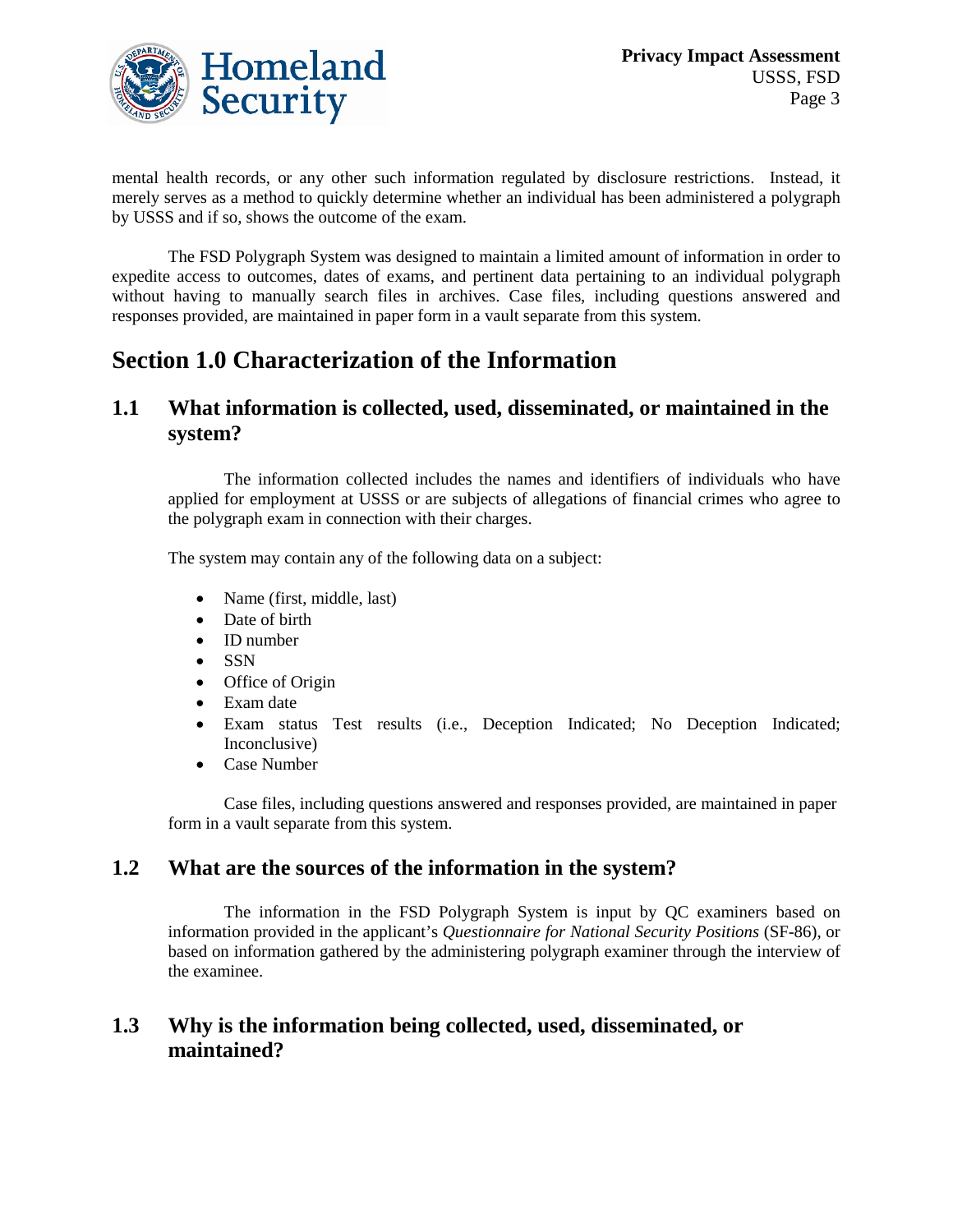

mental health records, or any other such information regulated by disclosure restrictions. Instead, it merely serves as a method to quickly determine whether an individual has been administered a polygraph by USSS and if so, shows the outcome of the exam.

The FSD Polygraph System was designed to maintain a limited amount of information in order to expedite access to outcomes, dates of exams, and pertinent data pertaining to an individual polygraph without having to manually search files in archives. Case files, including questions answered and responses provided, are maintained in paper form in a vault separate from this system.

## **Section 1.0 Characterization of the Information**

#### **1.1 What information is collected, used, disseminated, or maintained in the system?**

The information collected includes the names and identifiers of individuals who have applied for employment at USSS or are subjects of allegations of financial crimes who agree to the polygraph exam in connection with their charges.

The system may contain any of the following data on a subject:

- Name (first, middle, last)
- Date of birth
- ID number
- SSN
- Office of Origin
- Exam date
- Exam status Test results (i.e., Deception Indicated; No Deception Indicated; Inconclusive)
- Case Number

Case files, including questions answered and responses provided, are maintained in paper form in a vault separate from this system.

## **1.2 What are the sources of the information in the system?**

The information in the FSD Polygraph System is input by QC examiners based on information provided in the applicant's *Questionnaire for National Security Positions* (SF-86), or based on information gathered by the administering polygraph examiner through the interview of the examinee.

## **1.3 Why is the information being collected, used, disseminated, or maintained?**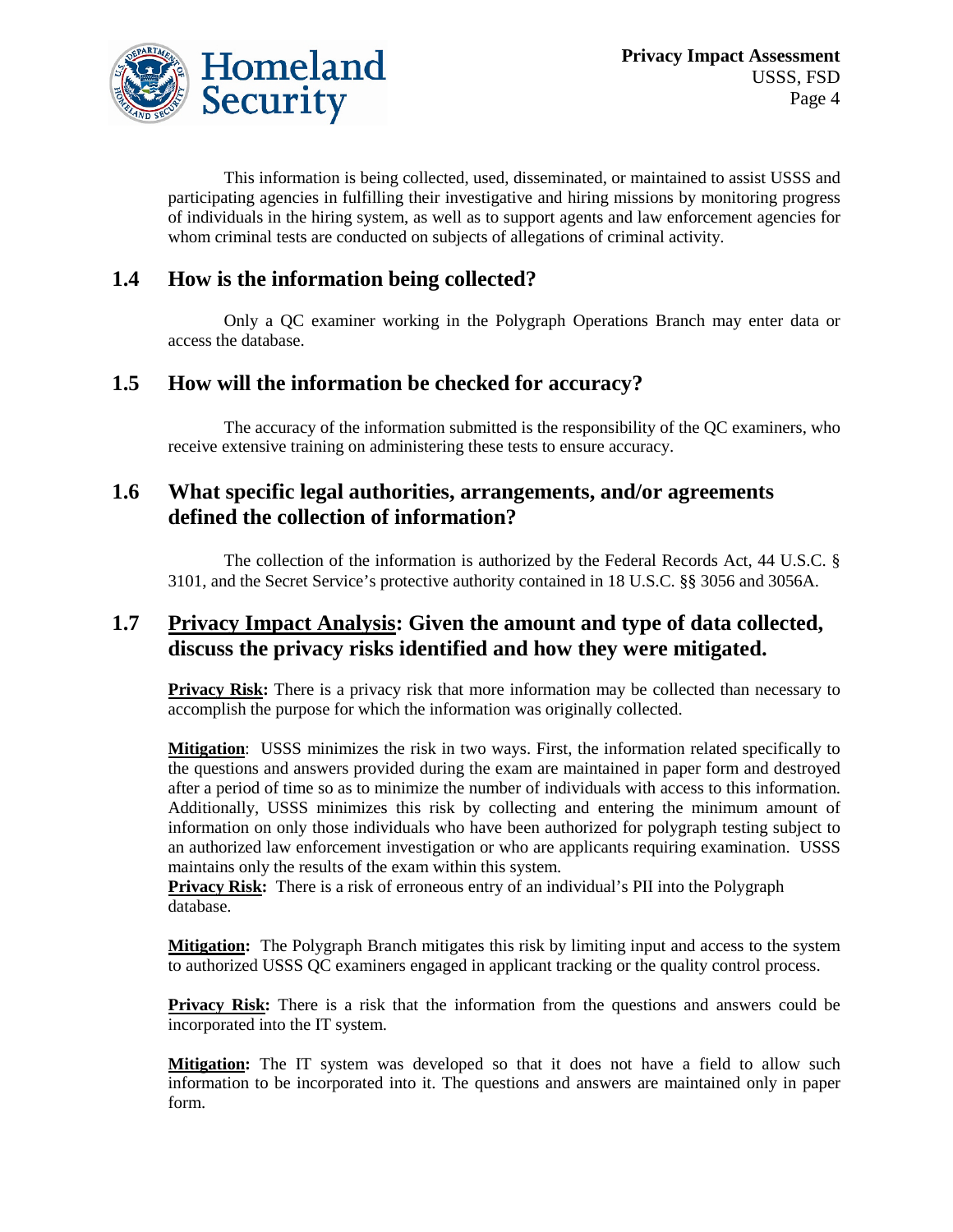

This information is being collected, used, disseminated, or maintained to assist USSS and participating agencies in fulfilling their investigative and hiring missions by monitoring progress of individuals in the hiring system, as well as to support agents and law enforcement agencies for whom criminal tests are conducted on subjects of allegations of criminal activity.

## **1.4 How is the information being collected?**

Only a QC examiner working in the Polygraph Operations Branch may enter data or access the database.

#### **1.5 How will the information be checked for accuracy?**

The accuracy of the information submitted is the responsibility of the QC examiners, who receive extensive training on administering these tests to ensure accuracy.

#### **1.6 What specific legal authorities, arrangements, and/or agreements defined the collection of information?**

The collection of the information is authorized by the Federal Records Act, 44 U.S.C. § 3101, and the Secret Service's protective authority contained in 18 U.S.C. §§ 3056 and 3056A.

## **1.7 Privacy Impact Analysis: Given the amount and type of data collected, discuss the privacy risks identified and how they were mitigated.**

**Privacy Risk:** There is a privacy risk that more information may be collected than necessary to accomplish the purpose for which the information was originally collected.

**Mitigation** : USSS minimizes the risk in two ways. First, the information related specifically to the questions and answers provided during the exam are maintained in paper form and destroyed after a period of time so as to minimize the number of individuals with access to this information. Additionally, USSS minimizes this risk by collecting and entering the minimum amount of information on only those individuals who have been authorized for polygraph testing subject to an authorized law enforcement investigation or who are applicants requiring examination. USSS maintains only the results of the exam within this system.

**Privacy Risk:** There is a risk of erroneous entry of an individual's PII into the Polygraph database.

**Mitigation:** The Polygraph Branch mitigates this risk by limiting input and access to the system to authorized USSS QC examiners engaged in applicant tracking or the quality control process.

**Privacy Risk:** There is a risk that the information from the questions and answers could be incorporated into the IT system.

**Mitigation:** The IT system was developed so that it does not have a field to allow such information to be incorporated into it. The questions and answers are maintained only in paper form.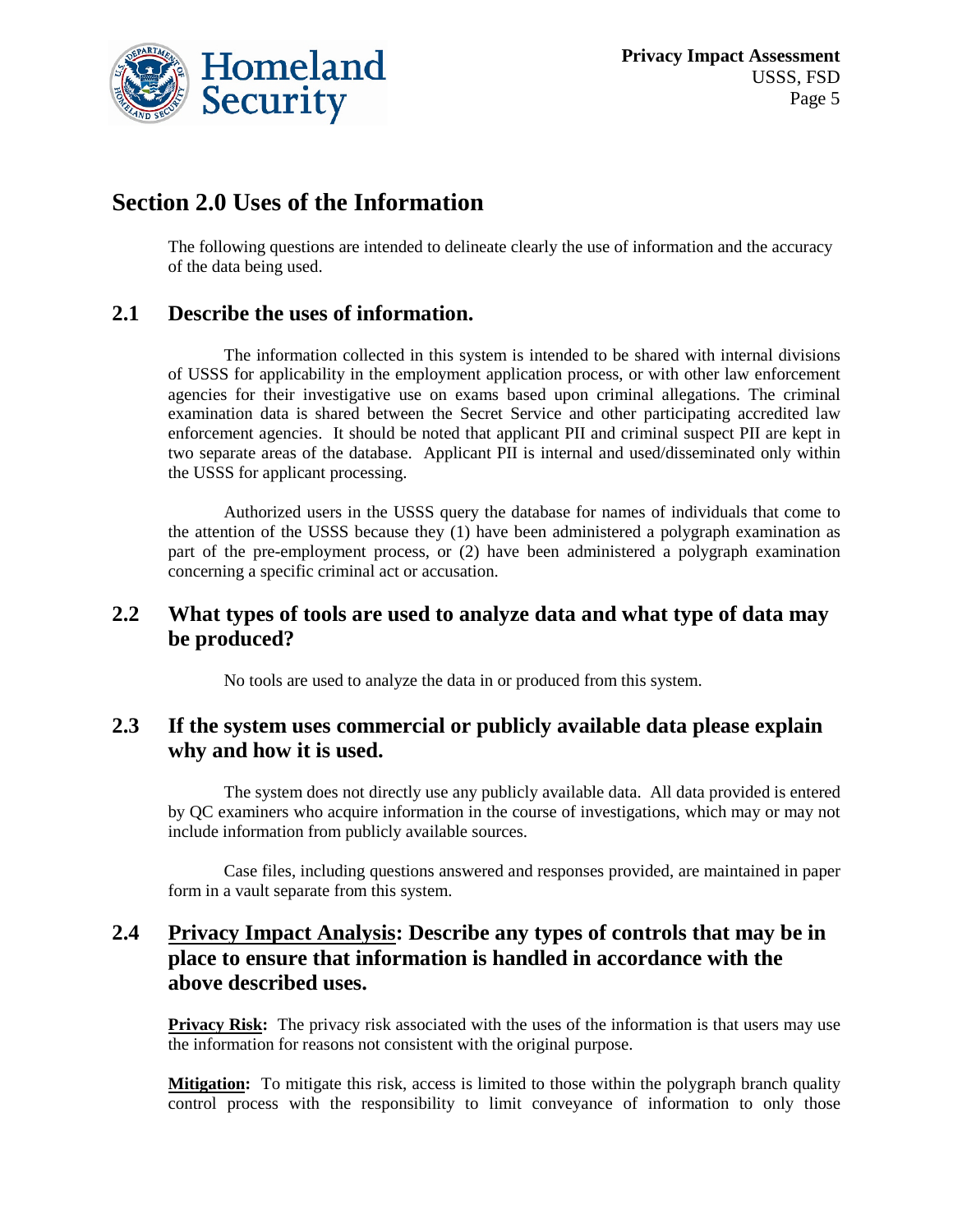

## **Section 2.0 Uses of the Information**

The following questions are intended to delineate clearly the use of information and the accuracy of the data being used.

#### **2.1 Describe the uses of information.**

The information collected in this system is intended to be shared with internal divisions of USSS for applicability in the employment application process, or with other law enforcement agencies for their investigative use on exams based upon criminal allegations. The criminal examination data is shared between the Secret Service and other participating accredited law enforcement agencies. It should be noted that applicant PII and criminal suspect PII are kept in two separate areas of the database. Applicant PII is internal and used/disseminated only within the USSS for applicant processing.

Authorized users in the USSS query the database for names of individuals that come to the attention of the USSS because they (1) have been administered a polygraph examination as part of the pre-employment process, or (2) have been administered a polygraph examination concerning a specific criminal act or accusation.

## **2.2 What types of tools are used to analyze data and what type of data may be produced?**

No tools are used to analyze the data in or produced from this system.

#### **2.3 If the system uses commercial or publicly available data please explain why and how it is used.**

The system does not directly use any publicly available data. All data provided is entered by QC examiners who acquire information in the course of investigations, which may or may not include information from publicly available sources.

Case files, including questions answered and responses provided, are maintained in paper form in a vault separate from this system.

## **2.4 Privacy Impact Analysis: Describe any types of controls that may be in place to ensure that information is handled in accordance with the above described uses.**

**Privacy Risk:** The privacy risk associated with the uses of the information is that users may use the information for reasons not consistent with the original purpose.

**Mitigation:** To mitigate this risk, access is limited to those within the polygraph branch quality control process with the responsibility to limit conveyance of information to only those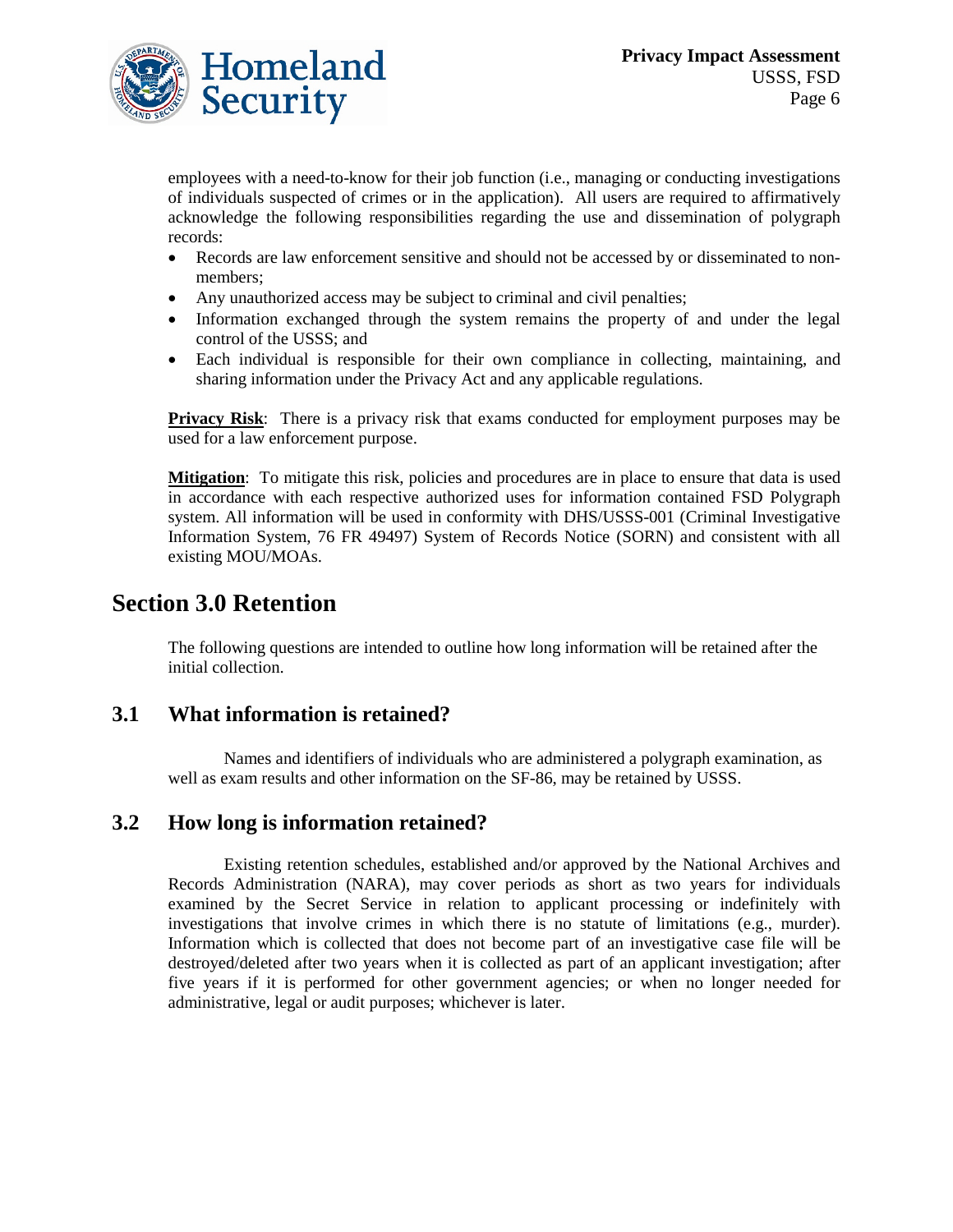

employees with a need-to-know for their job function (i.e., managing or conducting investigations of individuals suspected of crimes or in the application). All users are required to affirmatively acknowledge the following responsibilities regarding the use and dissemination of polygraph records:

- Records are law enforcement sensitive and should not be accessed by or disseminated to nonmembers;
- Any unauthorized access may be subject to criminal and civil penalties;
- Information exchanged through the system remains the property of and under the legal control of the USSS; and
- Each individual is responsible for their own compliance in collecting, maintaining, and sharing information under the Privacy Act and any applicable regulations.

**Privacy Risk**: There is a privacy risk that exams conducted for employment purposes may be used for a law enforcement purpose.

**Mitigation**: To mitigate this risk, policies and procedures are in place to ensure that data is used in accordance with each respective authorized uses for information contained FSD Polygraph system. All information will be used in conformity with DHS/USSS-001 (Criminal Investigative Information System, 76 FR 49497) System of Records Notice (SORN) and consistent with all existing MOU/MOAs.

## **Section 3.0 Retention**

The following questions are intended to outline how long information will be retained after the initial collection.

#### **3.1 What information is retained?**

Names and identifiers of individuals who are administered a polygraph examination, as well as exam results and other information on the SF-86, may be retained by USSS.

#### **3.2 How long is information retained?**

Existing retention schedules, established and/or approved by the National Archives and Records Administration (NARA), may cover periods as short as two years for individuals examined by the Secret Service in relation to applicant processing or indefinitely with investigations that involve crimes in which there is no statute of limitations (e.g., murder). Information which is collected that does not become part of an investigative case file will be destroyed/deleted after two years when it is collected as part of an applicant investigation; after five years if it is performed for other government agencies; or when no longer needed for administrative, legal or audit purposes; whichever is later.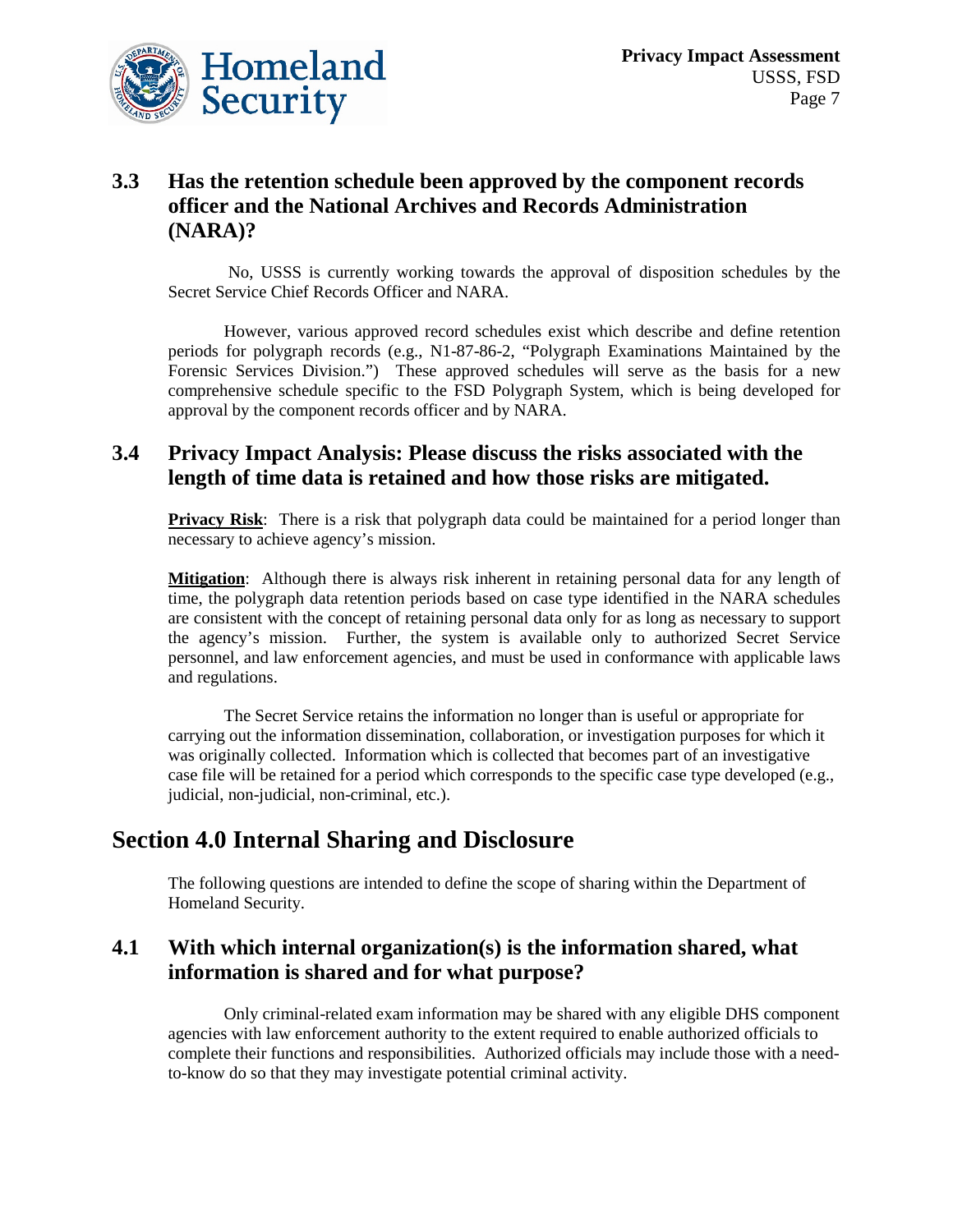

## **3.3 Has the retention schedule been approved by the component records officer and the National Archives and Records Administration (NARA)?**

No, USSS is currently working towards the approval of disposition schedules by the Secret Service Chief Records Officer and NARA.

However, various approved record schedules exist which describe and define retention periods for polygraph records (e.g., N1-87-86-2, "Polygraph Examinations Maintained by the Forensic Services Division.") These approved schedules will serve as the basis for a new comprehensive schedule specific to the FSD Polygraph System, which is being developed for approval by the component records officer and by NARA.

## **3.4 Privacy Impact Analysis: Please discuss the risks associated with the length of time data is retained and how those risks are mitigated.**

**Privacy Risk**: There is a risk that polygraph data could be maintained for a period longer than necessary to achieve agency's mission.

**Mitigation**: Although there is always risk inherent in retaining personal data for any length of time, the polygraph data retention periods based on case type identified in the NARA schedules are consistent with the concept of retaining personal data only for as long as necessary to support the agency's mission. Further, the system is available only to authorized Secret Service personnel, and law enforcement agencies, and must be used in conformance with applicable laws and regulations.

The Secret Service retains the information no longer than is useful or appropriate for carrying out the information dissemination, collaboration, or investigation purposes for which it was originally collected. Information which is collected that becomes part of an investigative case file will be retained for a period which corresponds to the specific case type developed (e.g., judicial, non-judicial, non-criminal, etc.).

## **Section 4.0 Internal Sharing and Disclosure**

The following questions are intended to define the scope of sharing within the Department of Homeland Security.

## **4.1 With which internal organization(s) is the information shared, what information is shared and for what purpose?**

Only criminal-related exam information may be shared with any eligible DHS component agencies with law enforcement authority to the extent required to enable authorized officials to complete their functions and responsibilities. Authorized officials may include those with a needto-know do so that they may investigate potential criminal activity.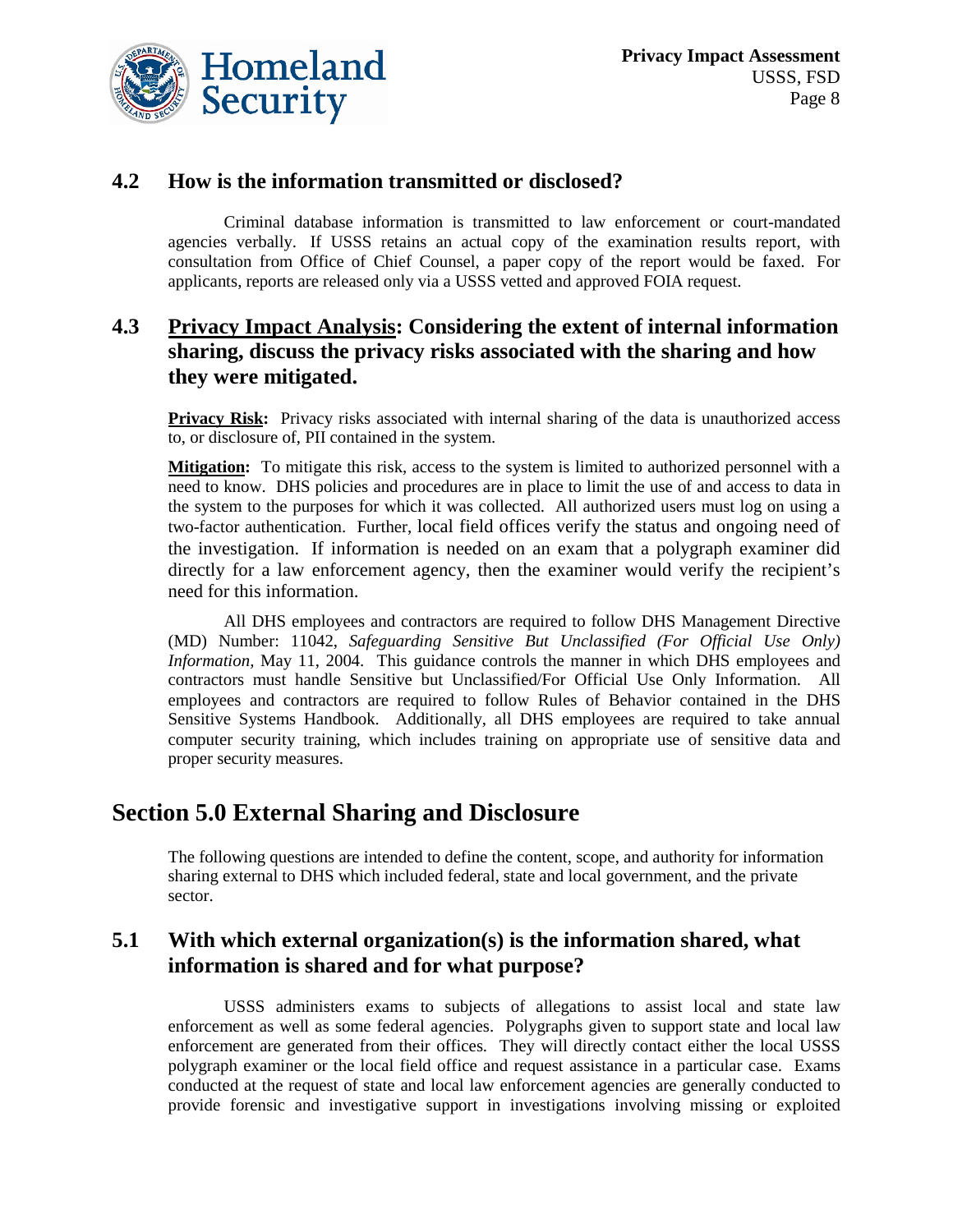

## **4.2 How is the information transmitted or disclosed?**

Criminal database information is transmitted to law enforcement or court-mandated agencies verbally. If USSS retains an actual copy of the examination results report, with consultation from Office of Chief Counsel, a paper copy of the report would be faxed. For applicants, reports are released only via a USSS vetted and approved FOIA request.

## **4.3 Privacy Impact Analysis: Considering the extent of internal information sharing, discuss the privacy risks associated with the sharing and how they were mitigated.**

**Privacy Risk:** Privacy risks associated with internal sharing of the data is unauthorized access to, or disclosure of, PII contained in the system.

**Mitigation :** To mitigate this risk, access to the system is limited to authorized personnel with a need to know. DHS policies and procedures are in place to limit the use of and access to data in the system to the purposes for which it was collected. All authorized users must log on using a two-factor authentication. Further, local field offices verify the status and ongoing need of the investigation. If information is needed on an exam that a polygraph examiner did directly for a law enforcement agency, then the examiner would verify the recipient's need for this information.

All DHS employees and contractors are required to follow DHS Management Directive (MD) Number: 11042, *Safeguarding Sensitive But Unclassified (For Official Use Only) Information*, May 11, 2004. This guidance controls the manner in which DHS employees and contractors must handle Sensitive but Unclassified/For Official Use Only Information. All employees and contractors are required to follow Rules of Behavior contained in the DHS Sensitive Systems Handbook. Additionally, all DHS employees are required to take annual computer security training, which includes training on appropriate use of sensitive data and proper security measures.

## **Section 5.0 External Sharing and Disclosure**

The following questions are intended to define the content, scope, and authority for information sharing external to DHS which included federal, state and local government, and the private sector.

## **5.1 With which external organization(s) is the information shared, what information is shared and for what purpose?**

USSS administers exams to subjects of allegations to assist local and state law enforcement as well as some federal agencies. Polygraphs given to support state and local law enforcement are generated from their offices. They will directly contact either the local USSS polygraph examiner or the local field office and request assistance in a particular case. Exams conducted at the request of state and local law enforcement agencies are generally conducted to provide forensic and investigative support in investigations involving missing or exploited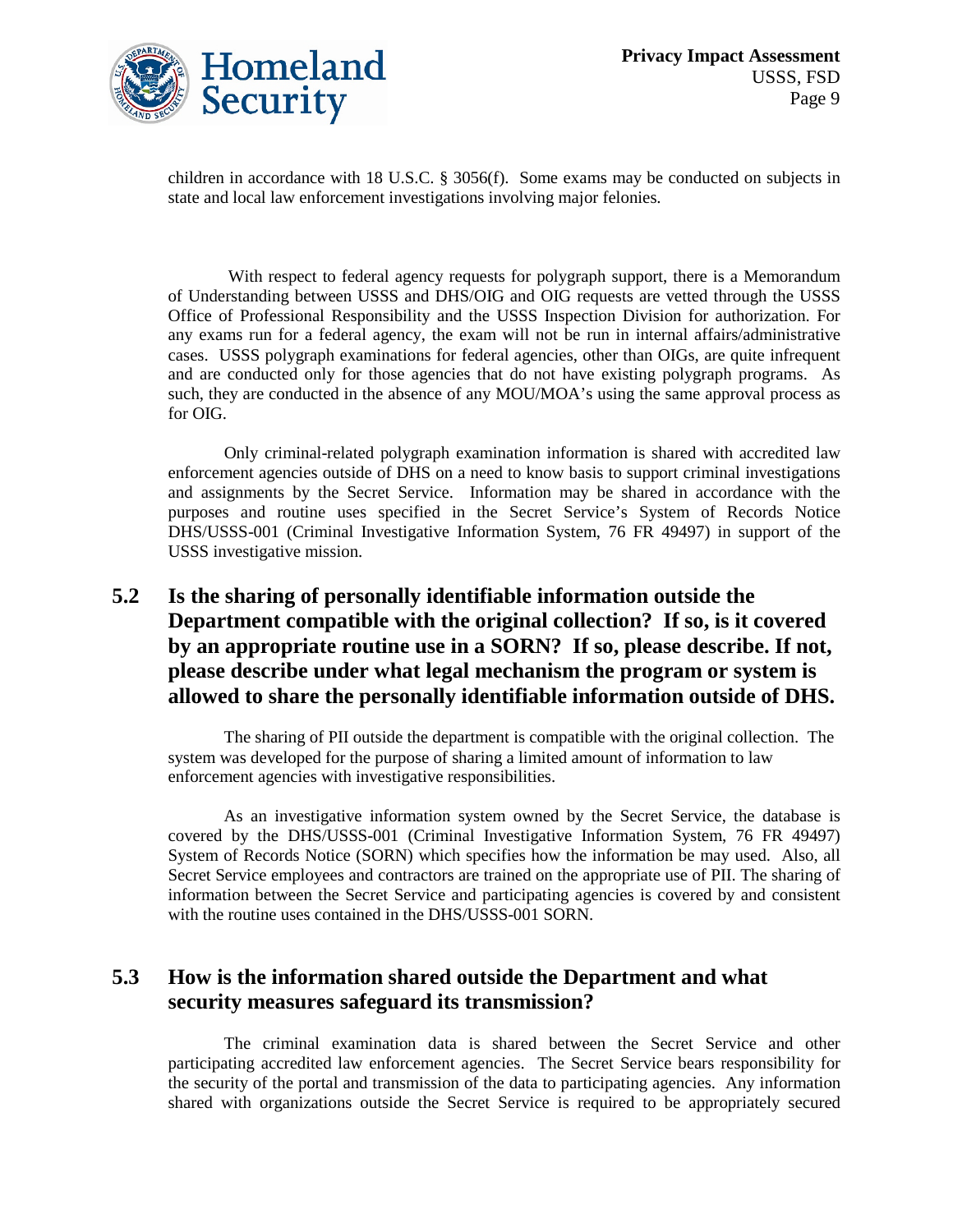

children in accordance with 18 U.S.C. § 3056(f). Some exams may be conducted on subjects in state and local law enforcement investigations involving major felonies.

With respect to federal agency requests for polygraph support, there is a Memorandum of Understanding between USSS and DHS/OIG and OIG requests are vetted through the USSS Office of Professional Responsibility and the USSS Inspection Division for authorization. For any exams run for a federal agency, the exam will not be run in internal affairs/administrative cases. USSS polygraph examinations for federal agencies, other than OIGs, are quite infrequent and are conducted only for those agencies that do not have existing polygraph programs. As such, they are conducted in the absence of any MOU/MOA's using the same approval process as for OIG.

Only criminal-related polygraph examination information is shared with accredited law enforcement agencies outside of DHS on a need to know basis to support criminal investigations and assignments by the Secret Service. Information may be shared in accordance with the purposes and routine uses specified in the Secret Service's System of Records Notice DHS/USSS-001 (Criminal Investigative Information System, 76 FR 49497) in support of the USSS investigative mission.

## **5.2 Is the sharing of personally identifiable information outside the Department compatible with the original collection? If so, is it covered by an appropriate routine use in a SORN? If so, please describe. If not, please describe under what legal mechanism the program or system is allowed to share the personally identifiable information outside of DHS.**

The sharing of PII outside the department is compatible with the original collection. The system was developed for the purpose of sharing a limited amount of information to law enforcement agencies with investigative responsibilities.

As an investigative information system owned by the Secret Service, the database is covered by the DHS/USSS-001 (Criminal Investigative Information System, 76 FR 49497) System of Records Notice (SORN) which specifies how the information be may used. Also, all Secret Service employees and contractors are trained on the appropriate use of PII. The sharing of information between the Secret Service and participating agencies is covered by and consistent with the routine uses contained in the DHS/USSS-001 SORN.

## **5.3 How is the information shared outside the Department and what security measures safeguard its transmission?**

The criminal examination data is shared between the Secret Service and other participating accredited law enforcement agencies. The Secret Service bears responsibility for the security of the portal and transmission of the data to participating agencies. Any information shared with organizations outside the Secret Service is required to be appropriately secured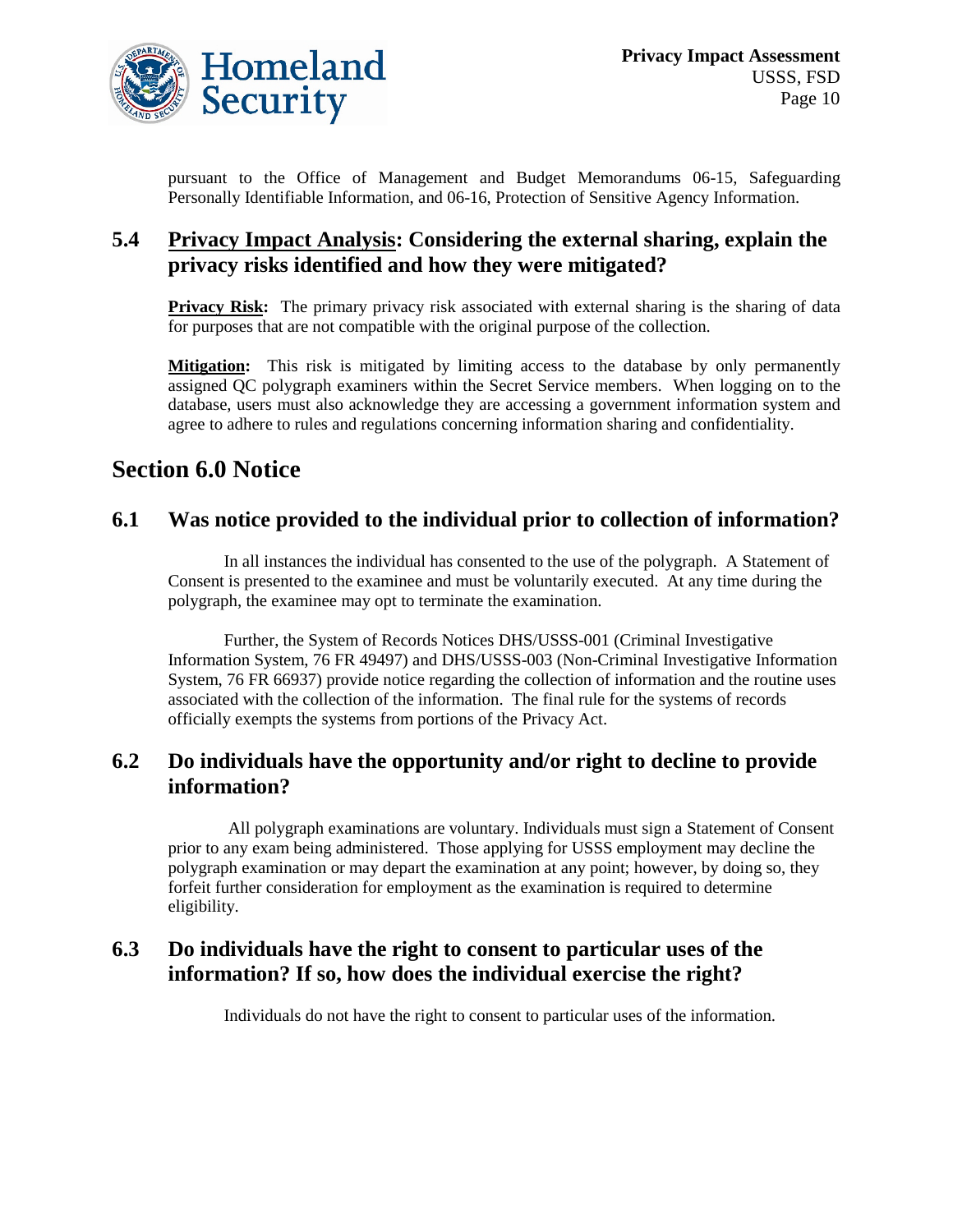

pursuant to the Office of Management and Budget Memorandums 06-15, Safeguarding Personally Identifiable Information, and 06-16, Protection of Sensitive Agency Information.

## **5.4 Privacy Impact Analysis: Considering the external sharing, explain the privacy risks identified and how they were mitigated?**

**Privacy Risk:** The primary privacy risk associated with external sharing is the sharing of data for purposes that are not compatible with the original purpose of the collection.

**Mitigation:** This risk is mitigated by limiting access to the database by only permanently assigned QC polygraph examiners within the Secret Service members. When logging on to the database, users must also acknowledge they are accessing a government information system and agree to adhere to rules and regulations concerning information sharing and confidentiality.

## **Section 6.0 Notice**

## **6.1 Was notice provided to the individual prior to collection of information?**

In all instances the individual has consented to the use of the polygraph. A Statement of Consent is presented to the examinee and must be voluntarily executed. At any time during the polygraph, the examinee may opt to terminate the examination.

Further, the System of Records Notices DHS/USSS-001 (Criminal Investigative Information System, 76 FR 49497) and DHS/USSS-003 (Non-Criminal Investigative Information System, 76 FR 66937) provide notice regarding the collection of information and the routine uses associated with the collection of the information. The final rule for the systems of records officially exempts the systems from portions of the Privacy Act.

## **6.2 Do individuals have the opportunity and/or right to decline to provide information?**

All polygraph examinations are voluntary. Individuals must sign a Statement of Consent prior to any exam being administered. Those applying for USSS employment may decline the polygraph examination or may depart the examination at any point; however, by doing so, they forfeit further consideration for employment as the examination is required to determine eligibility.

## **6.3 Do individuals have the right to consent to particular uses of the information? If so, how does the individual exercise the right?**

Individuals do not have the right to consent to particular uses of the information.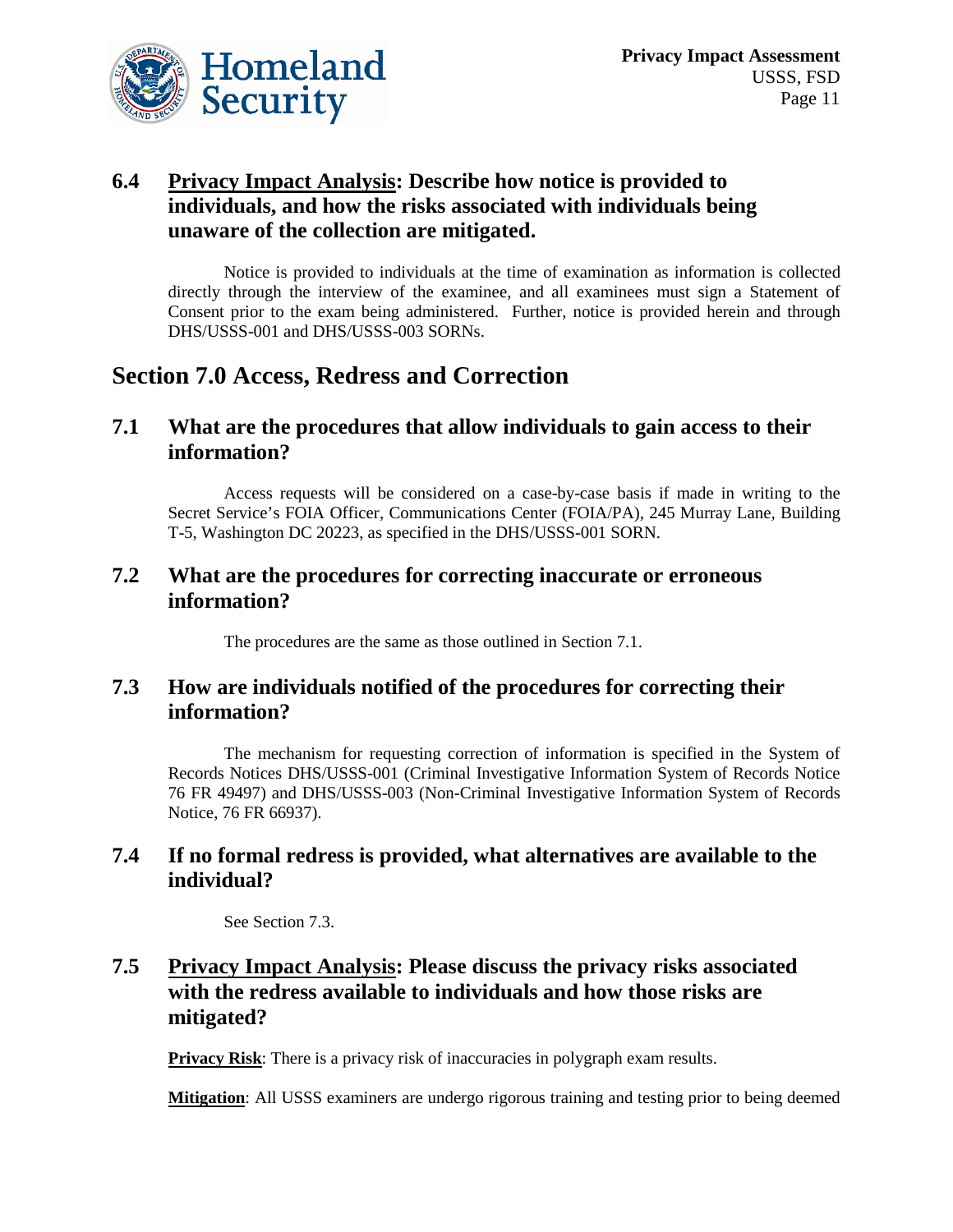

## **6.4 Privacy Impact Analysis: Describe how notice is provided to individuals, and how the risks associated with individuals being unaware of the collection are mitigated.**

Notice is provided to individuals at the time of examination as information is collected directly through the interview of the examinee, and all examinees must sign a Statement of Consent prior to the exam being administered. Further, notice is provided herein and through DHS/USSS-001 and DHS/USSS-003 SORNs.

## **Section 7.0 Access, Redress and Correction**

## **7.1 What are the procedures that allow individuals to gain access to their information?**

Access requests will be considered on a case-by-case basis if made in writing to the Secret Service's FOIA Officer, Communications Center (FOIA/PA), 245 Murray Lane, Building T-5, Washington DC 20223, as specified in the DHS/USSS-001 SORN.

## **7.2 What are the procedures for correcting inaccurate or erroneous information?**

The procedures are the same as those outlined in Section 7.1.

## **7.3 How are individuals notified of the procedures for correcting their information?**

The mechanism for requesting correction of information is specified in the System of Records Notices DHS/USSS-001 (Criminal Investigative Information System of Records Notice 76 FR 49497) and DHS/USSS-003 (Non-Criminal Investigative Information System of Records Notice, 76 FR 66937).

## **7.4 If no formal redress is provided, what alternatives are available to the individual?**

See Section 7.3.

## **7.5 Privacy Impact Analysis: Please discuss the privacy risks associated with the redress available to individuals and how those risks are mitigated?**

**Privacy Risk**: There is a privacy risk of inaccuracies in polygraph exam results.

**Mitigation**: All USSS examiners are undergo rigorous training and testing prior to being deemed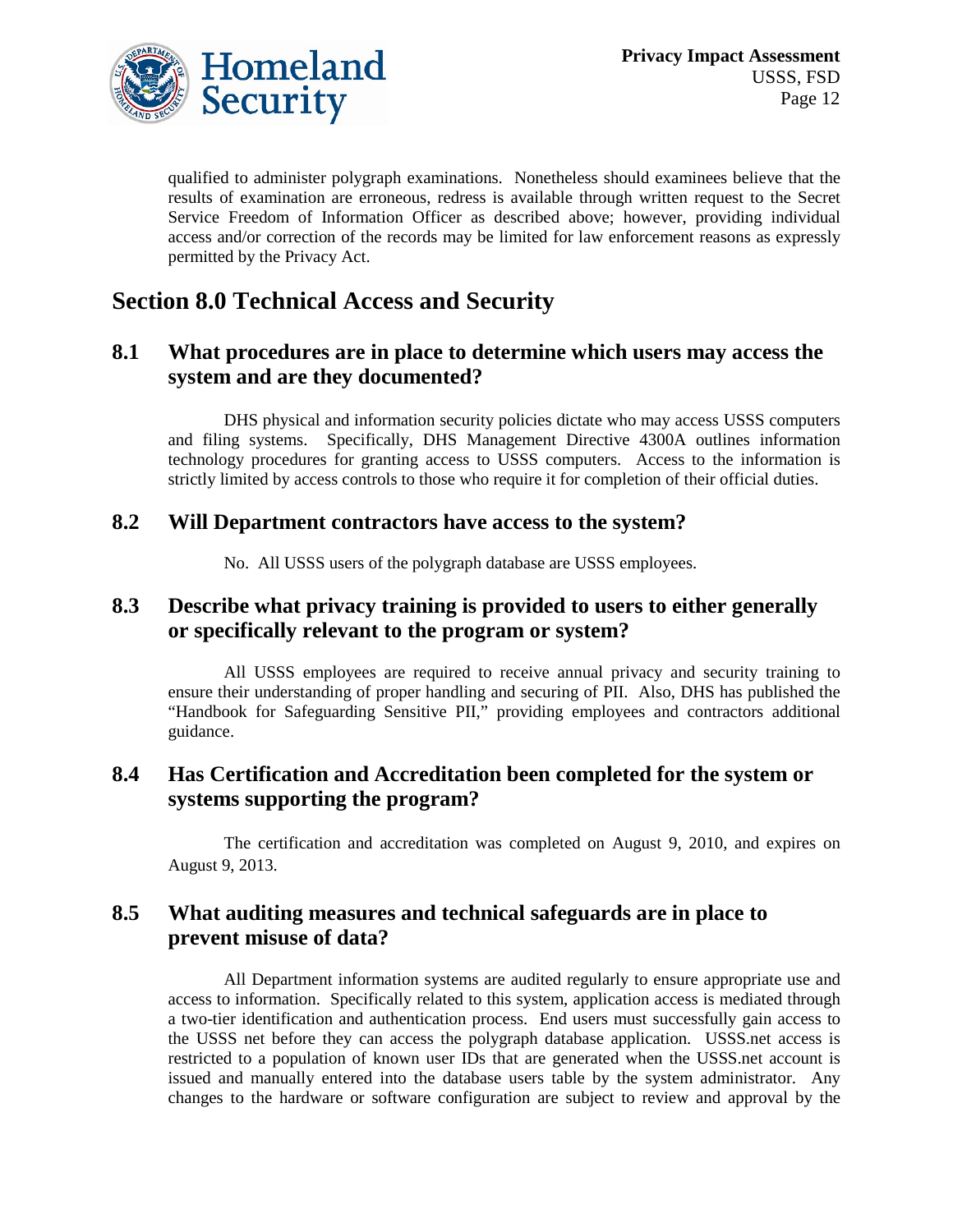

qualified to administer polygraph examinations. Nonetheless should examinees believe that the results of examination are erroneous, redress is available through written request to the Secret Service Freedom of Information Officer as described above; however, providing individual access and/or correction of the records may be limited for law enforcement reasons as expressly permitted by the Privacy Act.

## **Section 8.0 Technical Access and Security**

## **8.1 What procedures are in place to determine which users may access the system and are they documented?**

DHS physical and information security policies dictate who may access USSS computers and filing systems. Specifically, DHS Management Directive 4300A outlines information technology procedures for granting access to USSS computers. Access to the information is strictly limited by access controls to those who require it for completion of their official duties.

#### **8.2 Will Department contractors have access to the system?**

No. All USSS users of the polygraph database are USSS employees.

## **8.3 Describe what privacy training is provided to users to either generally or specifically relevant to the program or system?**

All USSS employees are required to receive annual privacy and security training to ensure their understanding of proper handling and securing of PII. Also, DHS has published the "Handbook for Safeguarding Sensitive PII," providing employees and contractors additional guidance.

## **8.4 Has Certification and Accreditation been completed for the system or systems supporting the program?**

The certification and accreditation was completed on August 9, 2010, and expires on August 9, 2013.

## **8.5 What auditing measures and technical safeguards are in place to prevent misuse of data?**

All Department information systems are audited regularly to ensure appropriate use and access to information. Specifically related to this system, application access is mediated through a two-tier identification and authentication process. End users must successfully gain access to the USSS net before they can access the polygraph database application. USSS.net access is restricted to a population of known user IDs that are generated when the USSS.net account is issued and manually entered into the database users table by the system administrator. Any changes to the hardware or software configuration are subject to review and approval by the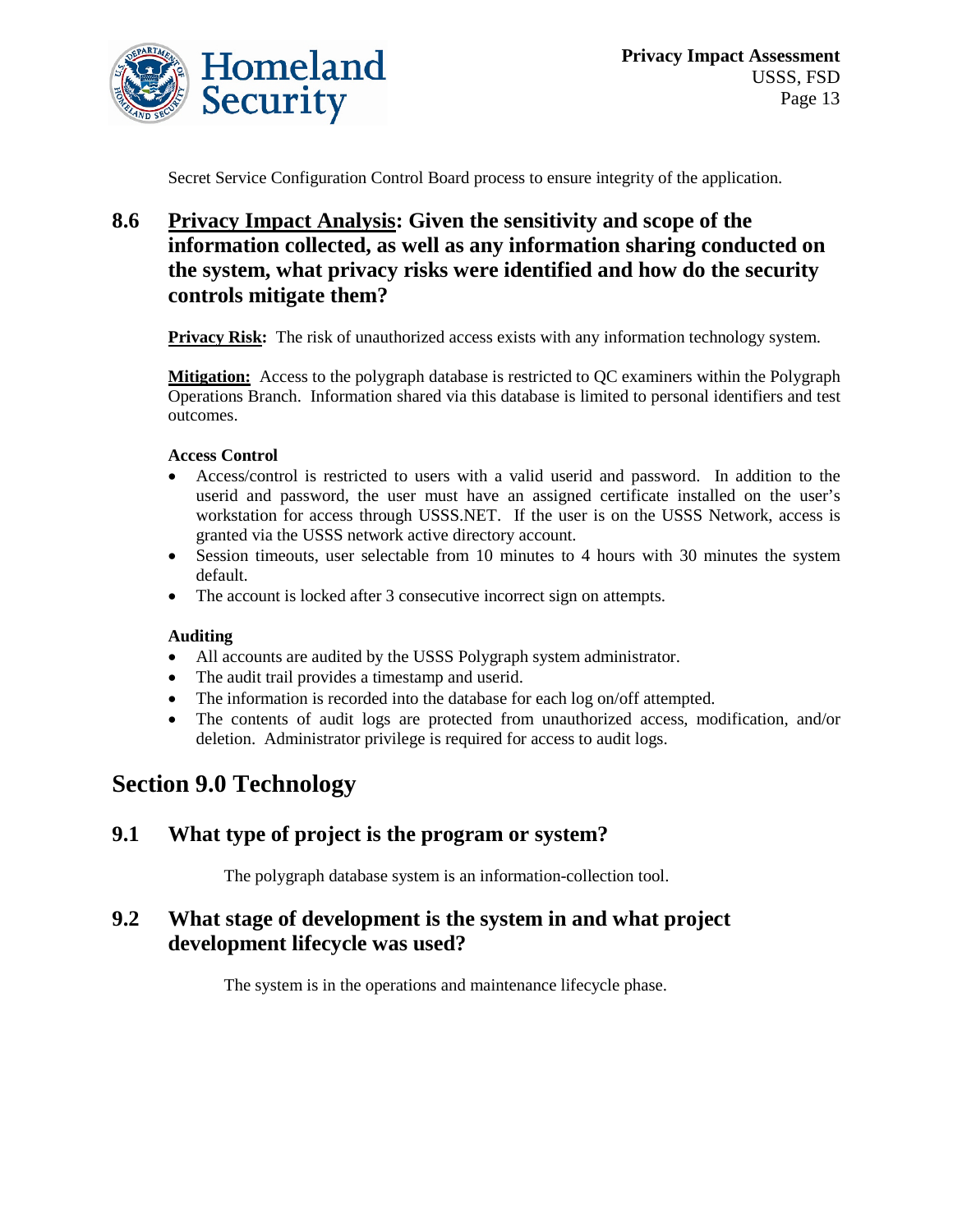

Secret Service Configuration Control Board process to ensure integrity of the application.

## **8.6 Privacy Impact Analysis: Given the sensitivity and scope of the information collected, as well as any information sharing conducted on the system, what privacy risks were identified and how do the security controls mitigate them?**

**Privacy Risk:** The risk of unauthorized access exists with any information technology system.

**Mitigation:** Access to the polygraph database is restricted to QC examiners within the Polygraph Operations Branch. Information shared via this database is limited to personal identifiers and test outcomes.

#### **Access Control**

- Access/control is restricted to users with a valid userid and password. In addition to the userid and password, the user must have an assigned certificate installed on the user's workstation for access through USSS.NET. If the user is on the USSS Network, access is granted via the USSS network active directory account.
- Session timeouts, user selectable from 10 minutes to 4 hours with 30 minutes the system default.
- The account is locked after 3 consecutive incorrect sign on attempts.

#### **Auditing**

- All accounts are audited by the USSS Polygraph system administrator.
- The audit trail provides a timestamp and userid.
- The information is recorded into the database for each log on/off attempted.
- The contents of audit logs are protected from unauthorized access, modification, and/or deletion. Administrator privilege is required for access to audit logs.

## **Section 9.0 Technology**

#### **9.1 What type of project is the program or system?**

The polygraph database system is an information-collection tool.

## **9.2 What stage of development is the system in and what project development lifecycle was used?**

The system is in the operations and maintenance lifecycle phase.